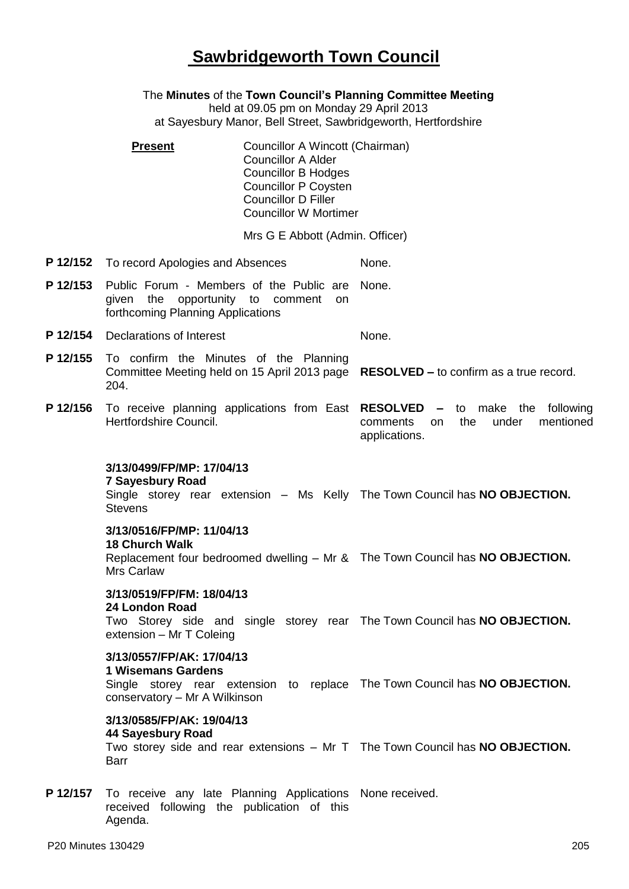# **Sawbridgeworth Town Council**

The **Minutes** of the **Town Council's Planning Committee Meeting** held at 09.05 pm on Monday 29 April 2013 at Sayesbury Manor, Bell Street, Sawbridgeworth, Hertfordshire **Present Councillor A Wincott (Chairman)** Councillor A Alder Councillor B Hodges Councillor P Coysten Councillor D Filler Councillor W Mortimer Mrs G E Abbott (Admin. Officer) **P 12/152** To record Apologies and Absences None. **P 12/153** Public Forum - Members of the Public are None. given the opportunity to comment on forthcoming Planning Applications **P 12/154** Declarations of Interest None. **P 12/155** To confirm the Minutes of the Planning Committee Meeting held on 15 April 2013 page **RESOLVED –** to confirm as a true record. 204. **P 12/156** To receive planning applications from East **RESOLVED –** to make the following Hertfordshire Council. comments on the under mentioned applications. **3/13/0499/FP/MP: 17/04/13 7 Sayesbury Road** Single storey rear extension – Ms Kelly The Town Council has **NO OBJECTION. Stevens 3/13/0516/FP/MP: 11/04/13 18 Church Walk** Replacement four bedroomed dwelling – Mr & The Town Council has **NO OBJECTION.** Mrs Carlaw **3/13/0519/FP/FM: 18/04/13 24 London Road** Two Storey side and single storey rear The Town Council has **NO OBJECTION.** extension – Mr T Coleing **3/13/0557/FP/AK: 17/04/13 1 Wisemans Gardens** Single storey rear extension to replace The Town Council has **NO OBJECTION.** conservatory – Mr A Wilkinson **3/13/0585/FP/AK: 19/04/13 44 Sayesbury Road** Two storey side and rear extensions – Mr T The Town Council has **NO OBJECTION. Barr** 

P 12/157 To receive any late Planning Applications None received. received following the publication of this Agenda.